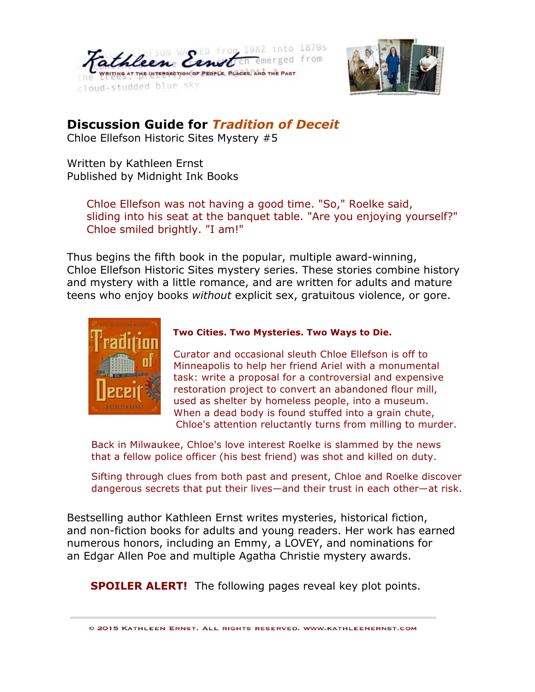



## **Discussion Guide for** *Tradition of Deceit*

Chloe Ellefson Historic Sites Mystery #5

Written by Kathleen Ernst Published by Midnight Ink Books

> Chloe Ellefson was not having a good time. "So," Roelke said, sliding into his seat at the banquet table. "Are you enjoying yourself?" Chloe smiled brightly. "I am!"

Thus begins the fifth book in the popular, multiple award-winning, Chloe Ellefson Historic Sites mystery series. These stories combine history and mystery with a little romance, and are written for adults and mature teens who enjoy books *without* explicit sex, gratuitous violence, or gore.



## **Two Cities. Two Mysteries. Two Ways to Die.**

 Curator and occasional sleuth Chloe Ellefson is off to Minneapolis to help her friend Ariel with a monumental task: write a proposal for a controversial and expensive restoration project to convert an abandoned flour mill, used as shelter by homeless people, into a museum. When a dead body is found stuffed into a grain chute, Chloe's attention reluctantly turns from milling to murder.

Back in Milwaukee, Chloe's love interest Roelke is slammed by the news that a fellow police officer (his best friend) was shot and killed on duty.

Sifting through clues from both past and present, Chloe and Roelke discover dangerous secrets that put their lives—and their trust in each other—at risk.

Bestselling author Kathleen Ernst writes mysteries, historical fiction, and non-fiction books for adults and young readers. Her work has earned numerous honors, including an Emmy, a LOVEY, and nominations for an Edgar Allen Poe and multiple Agatha Christie mystery awards.

**SPOILER ALERT!** The following pages reveal key plot points.

© 2015 KATHLEEN ERNST. ALL RIGHTS RESERVED, WWW.KATHLEENERNST.COM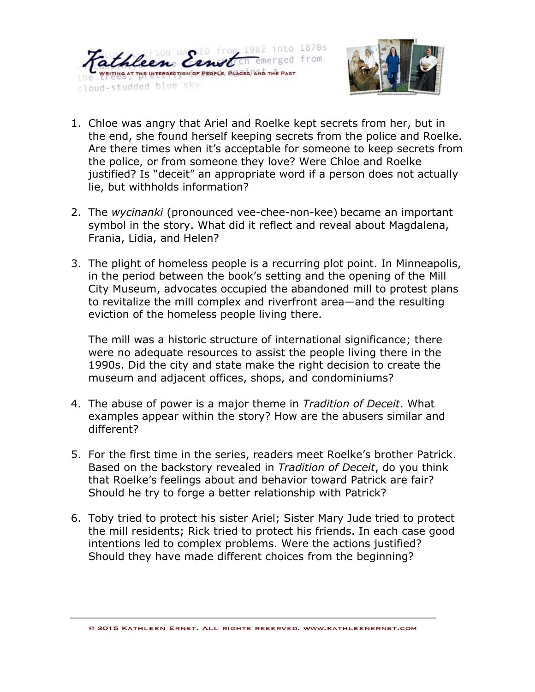



- 1. Chloe was angry that Ariel and Roelke kept secrets from her, but in the end, she found herself keeping secrets from the police and Roelke. Are there times when it's acceptable for someone to keep secrets from the police, or from someone they love? Were Chloe and Roelke justified? Is "deceit" an appropriate word if a person does not actually lie, but withholds information?
- 2. The *wycinanki* (pronounced vee-chee-non-kee) became an important symbol in the story. What did it reflect and reveal about Magdalena, Frania, Lidia, and Helen?
- 3. The plight of homeless people is a recurring plot point. In Minneapolis, in the period between the book's setting and the opening of the Mill City Museum, advocates occupied the abandoned mill to protest plans to revitalize the mill complex and riverfront area—and the resulting eviction of the homeless people living there.

The mill was a historic structure of international significance; there were no adequate resources to assist the people living there in the 1990s. Did the city and state make the right decision to create the museum and adjacent offices, shops, and condominiums?

- 4. The abuse of power is a major theme in *Tradition of Deceit*. What examples appear within the story? How are the abusers similar and different?
- 5. For the first time in the series, readers meet Roelke's brother Patrick. Based on the backstory revealed in *Tradition of Deceit*, do you think that Roelke's feelings about and behavior toward Patrick are fair? Should he try to forge a better relationship with Patrick?
- 6. Toby tried to protect his sister Ariel; Sister Mary Jude tried to protect the mill residents; Rick tried to protect his friends. In each case good intentions led to complex problems. Were the actions justified? Should they have made different choices from the beginning?